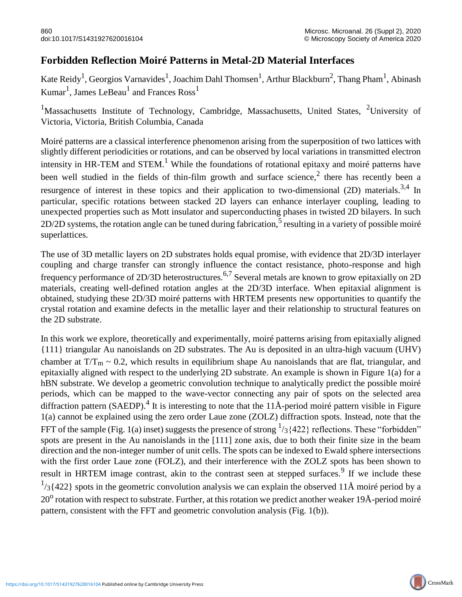## **Forbidden Reflection Moiré Patterns in Metal-2D Material Interfaces**

Kate Reidy<sup>1</sup>, Georgios Varnavides<sup>1</sup>, Joachim Dahl Thomsen<sup>1</sup>, Arthur Blackburn<sup>2</sup>, Thang Pham<sup>1</sup>, Abinash Kumar<sup>1</sup>, James LeBeau<sup>1</sup> and Frances Ross<sup>1</sup>

<sup>1</sup>Massachusetts Institute of Technology, Cambridge, Massachusetts, United States, <sup>2</sup>University of Victoria, Victoria, British Columbia, Canada

Moiré patterns are a classical interference phenomenon arising from the superposition of two lattices with slightly different periodicities or rotations, and can be observed by local variations in transmitted electron intensity in HR-TEM and STEM.<sup>1</sup> While the foundations of rotational epitaxy and moiré patterns have been well studied in the fields of thin-film growth and surface science,<sup>2</sup> there has recently been a resurgence of interest in these topics and their application to two-dimensional (2D) materials.<sup>3,4</sup> In particular, specific rotations between stacked 2D layers can enhance interlayer coupling, leading to unexpected properties such as Mott insulator and superconducting phases in twisted 2D bilayers. In such 2D/2D systems, the rotation angle can be tuned during fabrication,<sup>5</sup> resulting in a variety of possible moiré superlattices.

The use of 3D metallic layers on 2D substrates holds equal promise, with evidence that 2D/3D interlayer coupling and charge transfer can strongly influence the contact resistance, photo-response and high frequency performance of 2D/3D heterostructures.6,7 Several metals are known to grow epitaxially on 2D materials, creating well-defined rotation angles at the 2D/3D interface. When epitaxial alignment is obtained, studying these 2D/3D moiré patterns with HRTEM presents new opportunities to quantify the crystal rotation and examine defects in the metallic layer and their relationship to structural features on the 2D substrate.

In this work we explore, theoretically and experimentally, moiré patterns arising from epitaxially aligned {111} triangular Au nanoislands on 2D substrates. The Au is deposited in an ultra-high vacuum (UHV) chamber at  $T/T_m \sim 0.2$ , which results in equilibrium shape Au nanoislands that are flat, triangular, and epitaxially aligned with respect to the underlying 2D substrate. An example is shown in Figure 1(a) for a hBN substrate. We develop a geometric convolution technique to analytically predict the possible moiré periods, which can be mapped to the wave-vector connecting any pair of spots on the selected area diffraction pattern (SAEDP).<sup>4</sup> It is interesting to note that the 11Å-period moiré pattern visible in Figure 1(a) cannot be explained using the zero order Laue zone (ZOLZ) diffraction spots. Instead, note that the FFT of the sample (Fig. 1(a) inset) suggests the presence of strong  $\frac{1}{3}$ {422} reflections. These "forbidden" spots are present in the Au nanoislands in the [111] zone axis, due to both their finite size in the beam direction and the non-integer number of unit cells. The spots can be indexed to Ewald sphere intersections with the first order Laue zone (FOLZ), and their interference with the ZOLZ spots has been shown to result in HRTEM image contrast, akin to the contrast seen at stepped surfaces.<sup>9</sup> If we include these  $1/3$ {422} spots in the geometric convolution analysis we can explain the observed 11Å moiré period by a 20<sup>o</sup> rotation with respect to substrate. Further, at this rotation we predict another weaker 19Å-period moiré pattern, consistent with the FFT and geometric convolution analysis (Fig. 1(b)).

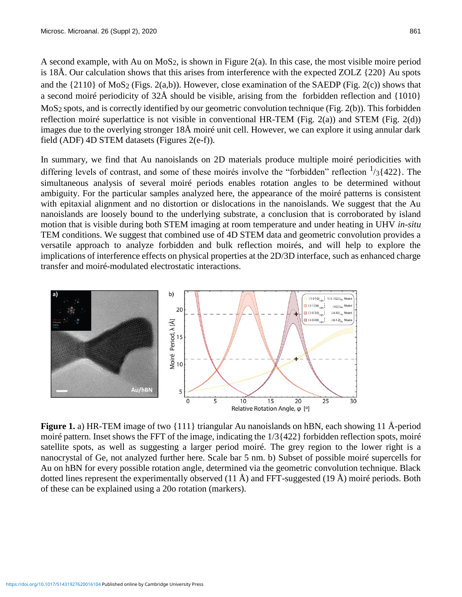A second example, with Au on  $MoS<sub>2</sub>$ , is shown in Figure 2(a). In this case, the most visible moire period is 18Å. Our calculation shows that this arises from interference with the expected ZOLZ {220} Au spots and the  $\{2110\}$  of MoS<sub>2</sub> (Figs. 2(a,b)). However, close examination of the SAEDP (Fig. 2(c)) shows that a second moiré periodicity of 32Å should be visible, arising from the forbidden reflection and {1010} MoS2 spots, and is correctly identified by our geometric convolution technique (Fig. 2(b)). This forbidden reflection moiré superlattice is not visible in conventional HR-TEM (Fig. 2(a)) and STEM (Fig. 2(d)) images due to the overlying stronger 18Å moiré unit cell. However, we can explore it using annular dark field (ADF) 4D STEM datasets (Figures 2(e-f)).

In summary, we find that Au nanoislands on 2D materials produce multiple moiré periodicities with differing levels of contrast, and some of these moirés involve the "forbidden" reflection  $\frac{1}{3}$ {422}. The simultaneous analysis of several moiré periods enables rotation angles to be determined without ambiguity. For the particular samples analyzed here, the appearance of the moiré patterns is consistent with epitaxial alignment and no distortion or dislocations in the nanoislands. We suggest that the Au nanoislands are loosely bound to the underlying substrate, a conclusion that is corroborated by island motion that is visible during both STEM imaging at room temperature and under heating in UHV *in-situ* TEM conditions. We suggest that combined use of 4D STEM data and geometric convolution provides a versatile approach to analyze forbidden and bulk reflection moirés, and will help to explore the implications of interference effects on physical properties at the 2D/3D interface, such as enhanced charge transfer and moiré-modulated electrostatic interactions.



**Figure 1.** a) HR-TEM image of two {111} triangular Au nanoislands on hBN, each showing 11 Å-period moiré pattern. Inset shows the FFT of the image, indicating the  $1/3$  {422} forbidden reflection spots, moiré satellite spots, as well as suggesting a larger period moiré. The grey region to the lower right is a nanocrystal of Ge, not analyzed further here. Scale bar 5 nm. b) Subset of possible moiré supercells for Au on hBN for every possible rotation angle, determined via the geometric convolution technique. Black dotted lines represent the experimentally observed  $(11 \text{ Å})$  and FFT-suggested  $(19 \text{ Å})$  moiré periods. Both of these can be explained using a 20o rotation (markers).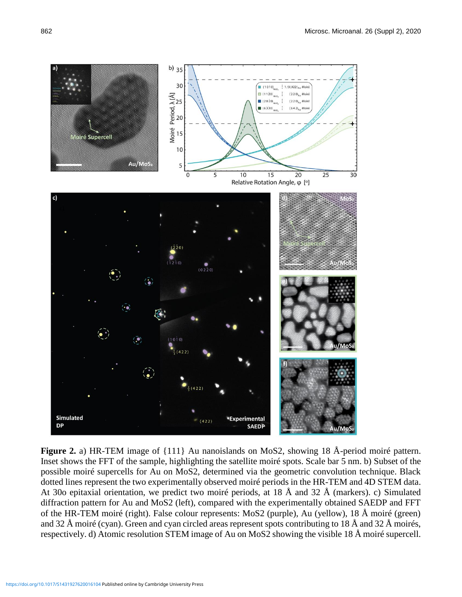

**Figure 2.** a) HR-TEM image of {111} Au nanoislands on MoS2, showing 18 Å-period moiré pattern. Inset shows the FFT of the sample, highlighting the satellite moiré spots. Scale bar 5 nm. b) Subset of the possible moiré supercells for Au on MoS2, determined via the geometric convolution technique. Black dotted lines represent the two experimentally observed moiré periods in the HR-TEM and 4D STEM data. At 30o epitaxial orientation, we predict two moiré periods, at 18 Å and 32 Å (markers). c) Simulated diffraction pattern for Au and MoS2 (left), compared with the experimentally obtained SAEDP and FFT of the HR-TEM moiré (right). False colour represents: MoS2 (purple), Au (yellow), 18 Å moiré (green) and 32 Å moiré (cyan). Green and cyan circled areas represent spots contributing to 18 Å and 32 Å moirés, respectively. d) Atomic resolution STEM image of Au on MoS2 showing the visible 18 Å moiré supercell.